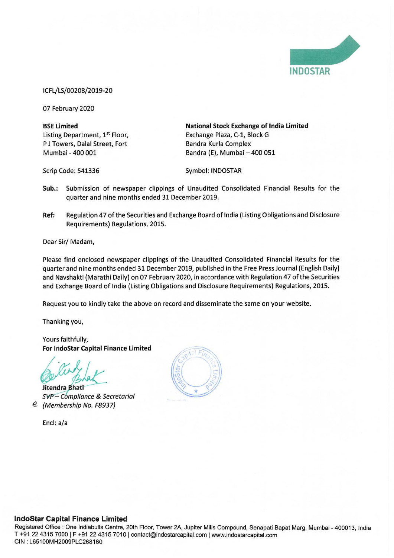

ICFL/LS/00208/2019-20

07 February 2020

Listing Department, 1% Floor, Exchange Plaza, C-1, Block G P J Towers, Dalal Street, Fort Bandra Kurla Complex

BSE Limited National Stock Exchange of India Limited Mumbai - 400 001 Bandra (E), Mumbai — 400 051

Scrip Code: 541336 Symbol: INDOSTAR

- Sub.: Submission of newspaper clippings of Unaudited Consolidated Financial Results for the quarter and nine months ended 31 December 2019.
- Ref: Regulation 47 of the Securities and Exchange Board of India (Listing Obligations and Disclosure Requirements) Regulations, 2015.

Dear Sir/ Madam,

Please find enclosed newspaper clippings of the Unaudited Consolidated Financial Results for the quarter and nine months ended 31 December 2019, published in the Free Press Journal (English Daily) and Navshakti (Marathi Daily) on 07 February 2020, in accordance with Regulation 47 of the Securities and Exchange Board of India (Listing Obligations and Disclosure Requirements) Regulations, 2015.

Request you to kindly take the above on record and disseminate the same on your website.

Thanking you,

Yours faithfully, For IndoStar Capital Finance Limited

Jitendra Bhati SVP - Compliance & Secretarial € (Membership No. F8937)

Encl: a/a

## IndoStar Capital Finance Limited

Registered Office : One Indiabulls Centre, 20th Floor, Tower 2A, Jupiter Mills Compound, Senapati Bapat Marg, Mumbai - 400013, India T +91 22 4315 7000 | F +91 22 4315 7010 | contact@indostarcapital.com | www.indostarcapital.com CIN : L65100MH2009PLC268160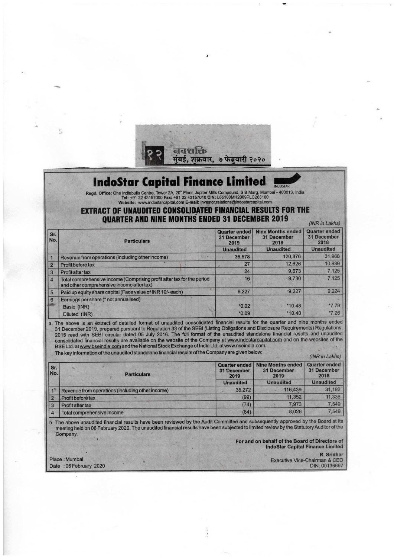**IndoStar Capital Finance Limited** 

Regd. Office: One Indiabulls Centre, Tower 2A, 20<sup>th</sup> Floor, Jupiter Mills Compound, S B Marg, Mumbat - 400013, India<br>Tel: +91 22 43157000 Fax: +91 22 43157010 CIN: L65100MH2009PLC268160 Website: www.indostarcapital.com E-mail: investor.relations@indostarcapital.com

नवशक्ति

मुंबई, शुक्रवार, ७ फेब्रुवारी २०२०

**OSTAR** 

## **EXTRACT OF UNAUDITED CONSOLIDATED FINANCIAL RESULTS FOR THE OUARTER AND NINE MONTHS ENDED 31 DECEMBER 2019**

(INR in Lakhs) **Nine Months ended Quarter ended Quarter ended** Sr. 31 December 31 December 31 December **No Particulars** 2019 2019 2018 **Unaudited Unaudited Unaudited** Revenue from operations (including other income) 36,578 120,876 31,968 10,939 27 12,626 Profit before tax  $\overline{2}$  $24$ 9,673 7,125 3 Profit after tax 16 9,730 7,125 Total comprehensive Income (Comprising profit after tax for the period  $\overline{4}$ and other comprehensive income after tax)  $-9,227$  $9,224$ 9,227 Paid up equity share capital (Face value of INR 10/-each) 5  $6$ Earnings per share (\* not annualised)  $*0.02$ \*10.48 \*7.79 Basic (INR)  $*0.09$  $*10.40$ \*7.26 Diluted (INR) a.

The above is an extract of detailed format of unaudited consolidated financial results for the quarter and nine months ended 31 December 2019, prepared pursuant to Regulation 33 of the SEBI (Listing Obligations and Disclosure Requirements) Regulations,<br>2015 read with SEBI circular dated 05 July 2016. The full format of the unaudited standalone f consolidated financial results are available on the website of the Company at www.indostarcapital.com and on the websites of the BSE Ltd. at www.bseindia.com and the National Stock Exchange of India Ltd. at www.nseindia.com.

The key information of the unaudited standalone financial results of the Company are given below:

Place: Mumbai

Date: 06 February 2020

|                |                                                  |                                             |                                                 | <b>UNR III LAKIISI</b>                      |
|----------------|--------------------------------------------------|---------------------------------------------|-------------------------------------------------|---------------------------------------------|
| Sr.<br>No.     | <b>Particulars</b>                               | Quarter ended<br><b>31 December</b><br>2019 | <b>Nine Months ended</b><br>31 December<br>2019 | Quarter ended<br><b>31 December</b><br>2018 |
|                |                                                  | <b>Unaudited</b>                            | <b>Unaudited</b>                                | <b>Unaudited</b>                            |
|                | Revenue from operations (including other income) | 35,272                                      | 116,439                                         | 31.192                                      |
| $\overline{2}$ | Profit before tax                                | (99)                                        | 11.352                                          | 11,336                                      |
|                | Profit after tax                                 | (74)                                        | 7,973                                           | 7,549                                       |
|                | Total comprehensive Income                       | (84)                                        | 8.026                                           | 7.549                                       |

b. The above unaudited financial results have been reviewed by the Audit Committee and subsequently approved by the Board at its meeting held on 06 February 2020. The unaudited financial results have been subjected to limited review by the Statutory Auditor of the Company.

> For and on behalf of the Board of Directors of **IndoStar Capital Finance Limited** R. Sridhar Executive Vice-Chairman & CEO DIN: 00136697